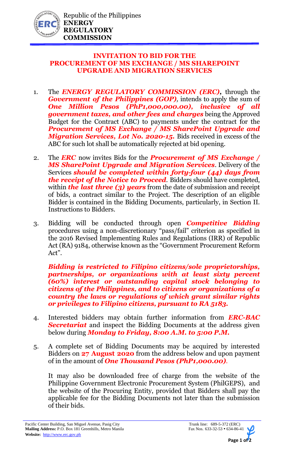

## **INVITATION TO BID FOR THE PROCUREMENT OF MS EXCHANGE / MS SHAREPOINT UPGRADE AND MIGRATION SERVICES**

- 1. The *ENERGY REGULATORY COMMISSION (ERC),* through the *Government of the Philippines (GOP)*, intends to apply the sum of *One Million Pesos (PhP1,000,000.00), inclusive of all government taxes, and other fees and charges* being the Approved Budget for the Contract (ABC) to payments under the contract for the *Procurement of MS Exchange / MS SharePoint Upgrade and Migration Services, Lot No. 2020-15.* Bids received in excess of the ABC for such lot shall be automatically rejected at bid opening.
- 2. The *ERC* now invites Bids for the *Procurement of MS Exchange / MS SharePoint Upgrade and Migration Services*. Delivery of the Services *should be completed within forty-four (44) days from the receipt of the Notice to Proceed.* Bidders should have completed, within **the last three (3) years** from the date of submission and receipt of bids, a contract similar to the Project. The description of an eligible Bidder is contained in the Bidding Documents, particularly, in Section II. Instructions to Bidders.
- 3. Bidding will be conducted through open *Competitive Bidding* procedures using a non-discretionary "pass/fail" criterion as specified in the 2016 Revised Implementing Rules and Regulations (IRR) of Republic Act (RA) 9184, otherwise known as the "Government Procurement Reform Act".

*Bidding is restricted to Filipino citizens/sole proprietorships, partnerships, or organizations with at least sixty percent (60%) interest or outstanding capital stock belonging to citizens of the Philippines, and to citizens or organizations of a country the laws or regulations of which grant similar rights or privileges to Filipino citizens, pursuant to RA 5183.* 

- 4. Interested bidders may obtain further information from *ERC-BAC Secretariat* and inspect the Bidding Documents at the address given below during *Monday to Friday, 8:00 A.M. to 5:00 P.M.*
- 5. A complete set of Bidding Documents may be acquired by interested Bidders on **27 August 2020** from the address below and upon payment of in the amount of *One Thousand Pesos (PhP1,000.00).*

It may also be downloaded free of charge from the website of the Philippine Government Electronic Procurement System (PhilGEPS), and the website of the Procuring Entity, provided that Bidders shall pay the applicable fee for the Bidding Documents not later than the submission of their bids.